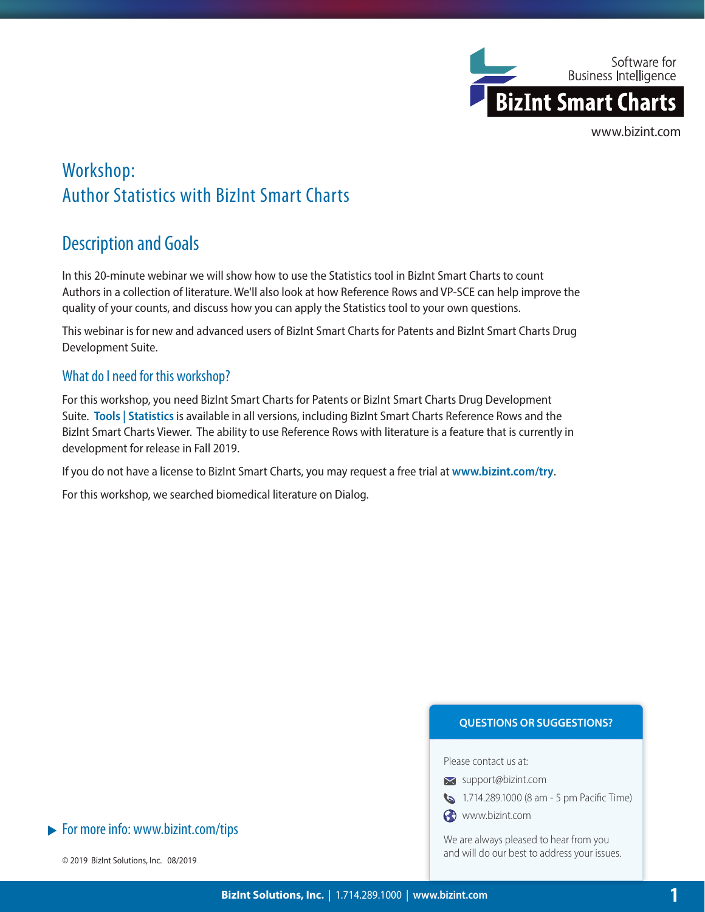

# Workshop: Author Statistics with BizInt Smart Charts

## Description and Goals

In this 20-minute webinar we will show how to use the Statistics tool in BizInt Smart Charts to count Authors in a collection of literature. We'll also look at how Reference Rows and VP-SCE can help improve the quality of your counts, and discuss how you can apply the Statistics tool to your own questions.

This webinar is for new and advanced users of BizInt Smart Charts for Patents and BizInt Smart Charts Drug Development Suite.

## What do I need for this workshop?

For this workshop, you need BizInt Smart Charts for Patents or BizInt Smart Charts Drug Development Suite. **Tools | Statistics** is available in all versions, including BizInt Smart Charts Reference Rows and the BizInt Smart Charts Viewer. The ability to use Reference Rows with literature is a feature that is currently in development for release in Fall 2019.

If you do not have a license to BizInt Smart Charts, you may request a free trial at **www.bizint.com/try**.

For this workshop, we searched biomedical literature on Dialog.

#### **QUESTIONS OR SUGGESTIONS?**

Please contact us at:

- **x** support@bizint.com
- 1.714.289.1000 (8 am 5 pm Pacific Time)
- www.bizint.com

We are always pleased to hear from you and will do our best to address your issues.

 $\blacktriangleright$  For more info: www.bizint.com/tips

© 2019 BizInt Solutions, Inc. 08/2019